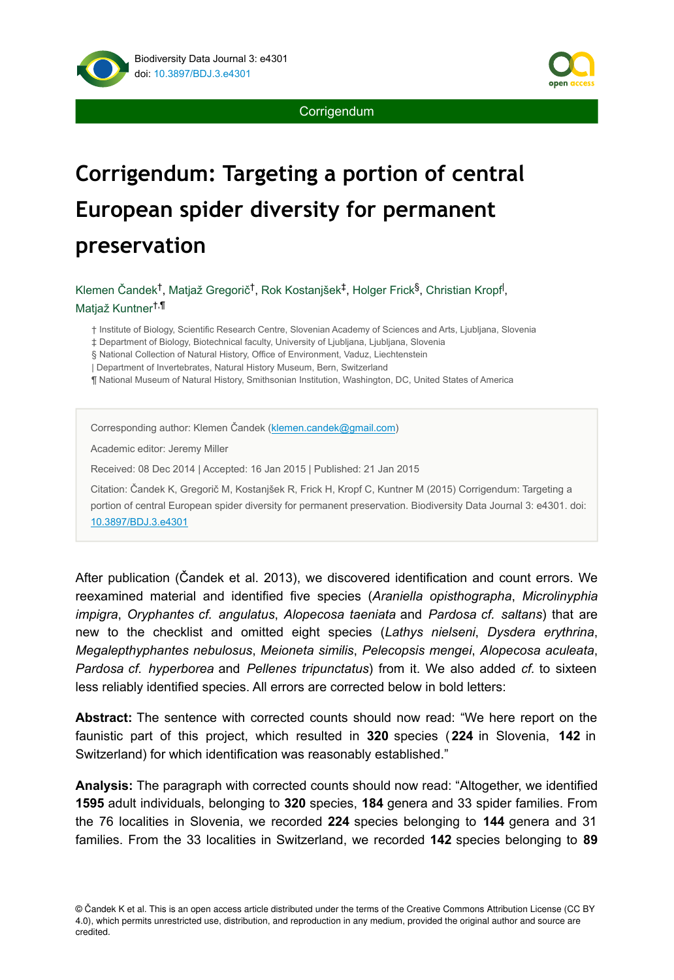

**Corrigendum** 

# **Corrigendum: Targeting a portion of central European spider diversity for permanent preservation**

Klemen Čandek<sup>†</sup>, Matjaž Gregorič<sup>†</sup>, Rok Kostanjšek<sup>‡</sup>, Holger Frick<sup>§</sup>, Christian Kropf<sup>l</sup>, Matjaž Kuntner †,¶

† Institute of Biology, Scientific Research Centre, Slovenian Academy of Sciences and Arts, Ljubljana, Slovenia

‡ Department of Biology, Biotechnical faculty, University of Ljubljana, Ljubljana, Slovenia

§ National Collection of Natural History, Office of Environment, Vaduz, Liechtenstein

| Department of Invertebrates, Natural History Museum, Bern, Switzerland

¶ National Museum of Natural History, Smithsonian Institution, Washington, DC, United States of America

Corresponding author: Klemen Čandek ([klemen.candek@gmail.com\)](mailto:klemen.candek@gmail.com?subject=Your%20manuscript%20in%20PWT%20#3832/BDJ%20#4301)

Academic editor: Jeremy Miller

Received: 08 Dec 2014 | Accepted: 16 Jan 2015 | Published: 21 Jan 2015

Citation: Čandek K, Gregorič M, Kostanjšek R, Frick H, Kropf C, Kuntner M (2015) Corrigendum: Targeting a portion of central European spider diversity for permanent preservation. Biodiversity Data Journal 3: e4301. doi: [10.3897/BDJ.3.e4301](http://dx.doi.org/10.3897/BDJ.3.e4301)

After publication (Čandek et al. 2013), we discovered identification and count errors. We reexamined material and identified five species (*Araniella opisthographa*, *Microlinyphia impigra*, *Oryphantes cf. angulatus*, *Alopecosa taeniata* and *Pardosa cf. saltans*) that are new to the checklist and omitted eight species (*Lathys nielseni*, *Dysdera erythrina*, *Megalepthyphantes nebulosus*, *Meioneta similis*, *Pelecopsis mengei*, *Alopecosa aculeata*, *Pardosa cf. hyperborea* and *Pellenes tripunctatus*) from it. We also added *cf.* to sixteen less reliably identified species. All errors are corrected below in bold letters:

**Abstract:** The sentence with corrected counts should now read: "We here report on the faunistic part of this project, which resulted in **320** species ( **224** in Slovenia, **142** in Switzerland) for which identification was reasonably established."

**Analysis:** The paragraph with corrected counts should now read: "Altogether, we identified **1595** adult individuals, belonging to **320** species, **184** genera and 33 spider families. From the 76 localities in Slovenia, we recorded **224** species belonging to **144** genera and 31 families. From the 33 localities in Switzerland, we recorded **142** species belonging to **89**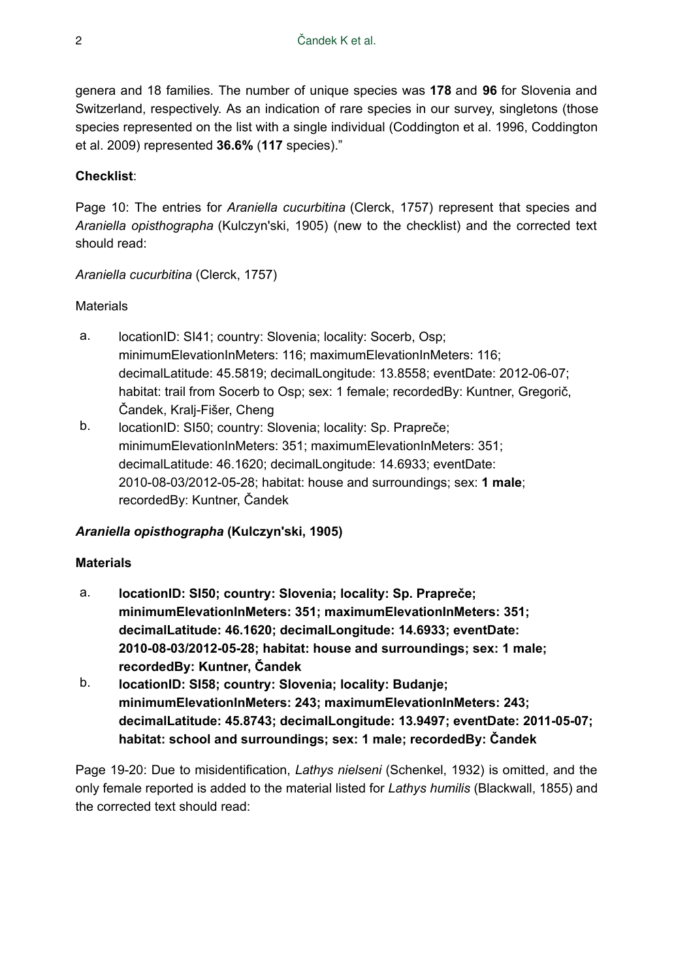genera and 18 families. The number of unique species was **178** and **96** for Slovenia and Switzerland, respectively. As an indication of rare species in our survey, singletons (those species represented on the list with a single individual (Coddington et al. 1996, Coddington et al. 2009) represented **36.6%** (**117** species)."

# **Checklist**:

Page 10: The entries for *Araniella cucurbitina* (Clerck, 1757) represent that species and *Araniella opisthographa* (Kulczyn'ski, 1905) (new to the checklist) and the corrected text should read:

#### *Araniella cucurbitina* (Clerck, 1757)

# **Materials**

- a. locationID: SI41; country: Slovenia; locality: Socerb, Osp; minimumElevationInMeters: 116; maximumElevationInMeters: 116; decimalLatitude: 45.5819; decimalLongitude: 13.8558; eventDate: 2012-06-07; habitat: trail from Socerb to Osp; sex: 1 female; recordedBy: Kuntner, Gregorič, Čandek, Kralj-Fišer, Cheng
- b. locationID: SI50; country: Slovenia; locality: Sp. Prapreče; minimumElevationInMeters: 351; maximumElevationInMeters: 351; decimalLatitude: 46.1620; decimalLongitude: 14.6933; eventDate: 2010-08-03/2012-05-28; habitat: house and surroundings; sex: **1 male**; recordedBy: Kuntner, Čandek

# *Araniella opisthographa* **(Kulczyn'ski, 1905)**

#### **Materials**

- a. **locationID: SI50; country: Slovenia; locality: Sp. Prapreče; minimumElevationInMeters: 351; maximumElevationInMeters: 351; decimalLatitude: 46.1620; decimalLongitude: 14.6933; eventDate: 2010-08-03/2012-05-28; habitat: house and surroundings; sex: 1 male; recordedBy: Kuntner, Čandek**
- b. **locationID: SI58; country: Slovenia; locality: Budanje; minimumElevationInMeters: 243; maximumElevationInMeters: 243; decimalLatitude: 45.8743; decimalLongitude: 13.9497; eventDate: 2011-05-07; habitat: school and surroundings; sex: 1 male; recordedBy: Čandek**

Page 19-20: Due to misidentification, *Lathys nielseni* (Schenkel, 1932) is omitted, and the only female reported is added to the material listed for *Lathys humilis* (Blackwall, 1855) and the corrected text should read: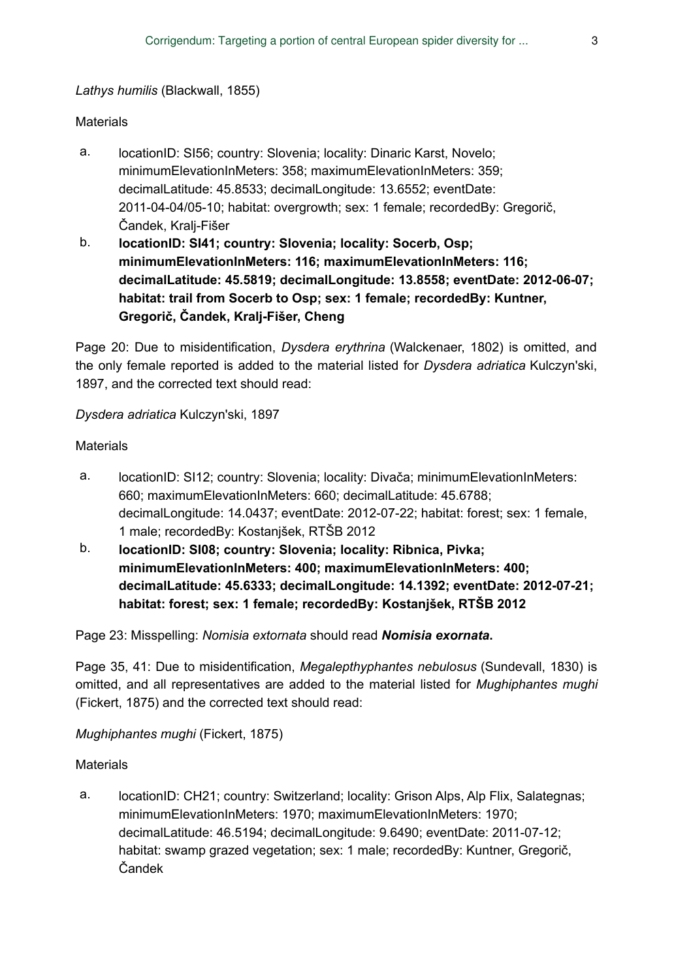#### *Lathys humilis* (Blackwall, 1855)

#### **Materials**

- a. locationID: SI56; country: Slovenia; locality: Dinaric Karst, Novelo; minimumElevationInMeters: 358; maximumElevationInMeters: 359; decimalLatitude: 45.8533; decimalLongitude: 13.6552; eventDate: 2011-04-04/05-10; habitat: overgrowth; sex: 1 female; recordedBy: Gregorič, Čandek, Kralj-Fišer
- b. **locationID: SI41; country: Slovenia; locality: Socerb, Osp; minimumElevationInMeters: 116; maximumElevationInMeters: 116; decimalLatitude: 45.5819; decimalLongitude: 13.8558; eventDate: 2012-06-07; habitat: trail from Socerb to Osp; sex: 1 female; recordedBy: Kuntner, Gregorič, Čandek, Kralj-Fišer, Cheng**

Page 20: Due to misidentification, *Dysdera erythrina* (Walckenaer, 1802) is omitted, and the only female reported is added to the material listed for *Dysdera adriatica* Kulczyn'ski, 1897, and the corrected text should read:

*Dysdera adriatica* Kulczyn'ski, 1897

#### **Materials**

- a. locationID: SI12; country: Slovenia; locality: Divača; minimumElevationInMeters: 660; maximumElevationInMeters: 660; decimalLatitude: 45.6788; decimalLongitude: 14.0437; eventDate: 2012-07-22; habitat: forest; sex: 1 female, 1 male; recordedBy: Kostanjšek, RTŠB 2012
- b. **locationID: SI08; country: Slovenia; locality: Ribnica, Pivka; minimumElevationInMeters: 400; maximumElevationInMeters: 400; decimalLatitude: 45.6333; decimalLongitude: 14.1392; eventDate: 2012-07-21; habitat: forest; sex: 1 female; recordedBy: Kostanjšek, RTŠB 2012**

Page 23: Misspelling: *Nomisia extornata* should read *Nomisia exornata***.**

Page 35, 41: Due to misidentification, *Megalepthyphantes nebulosus* (Sundevall, 1830) is omitted, and all representatives are added to the material listed for *Mughiphantes mughi* (Fickert, 1875) and the corrected text should read:

*Mughiphantes mughi* (Fickert, 1875)

#### **Materials**

a. locationID: CH21; country: Switzerland; locality: Grison Alps, Alp Flix, Salategnas; minimumElevationInMeters: 1970; maximumElevationInMeters: 1970; decimalLatitude: 46.5194; decimalLongitude: 9.6490; eventDate: 2011-07-12; habitat: swamp grazed vegetation; sex: 1 male; recordedBy: Kuntner, Gregorič, Čandek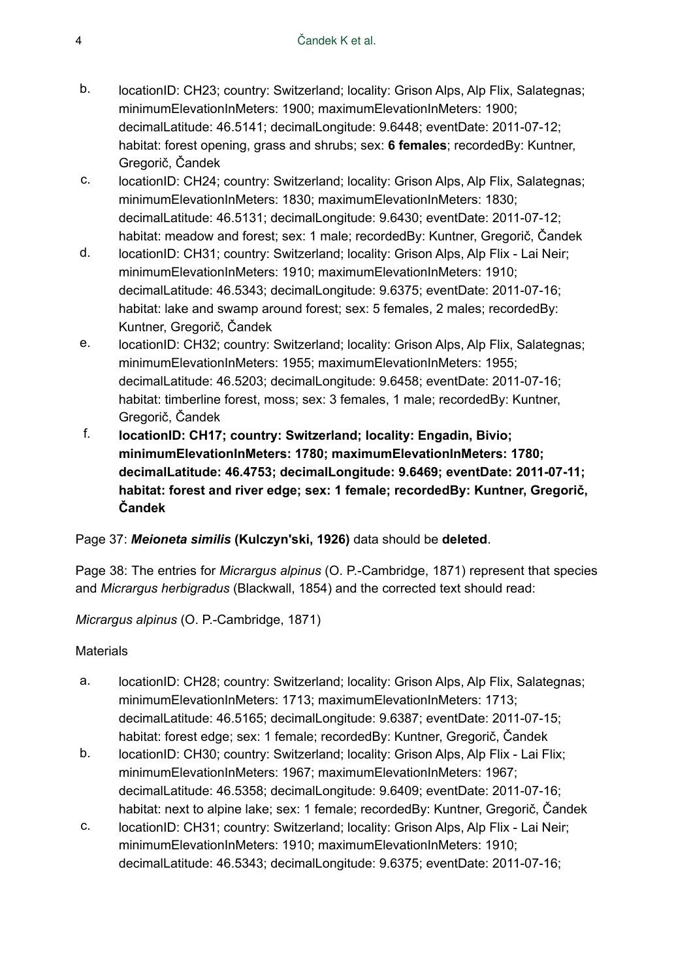- b. locationID: CH23; country: Switzerland; locality: Grison Alps, Alp Flix, Salategnas; minimumElevationInMeters: 1900; maximumElevationInMeters: 1900; decimalLatitude: 46.5141; decimalLongitude: 9.6448; eventDate: 2011-07-12; habitat: forest opening, grass and shrubs; sex: **6 females**; recordedBy: Kuntner, Gregorič, Čandek
- c. locationID: CH24; country: Switzerland; locality: Grison Alps, Alp Flix, Salategnas; minimumElevationInMeters: 1830; maximumElevationInMeters: 1830; decimalLatitude: 46.5131; decimalLongitude: 9.6430; eventDate: 2011-07-12; habitat: meadow and forest; sex: 1 male; recordedBy: Kuntner, Gregorič, Čandek
- d. locationID: CH31; country: Switzerland; locality: Grison Alps, Alp Flix Lai Neir; minimumElevationInMeters: 1910; maximumElevationInMeters: 1910; decimalLatitude: 46.5343; decimalLongitude: 9.6375; eventDate: 2011-07-16; habitat: lake and swamp around forest; sex: 5 females, 2 males; recordedBy: Kuntner, Gregorič, Čandek
- e. locationID: CH32; country: Switzerland; locality: Grison Alps, Alp Flix, Salategnas; minimumElevationInMeters: 1955; maximumElevationInMeters: 1955; decimalLatitude: 46.5203; decimalLongitude: 9.6458; eventDate: 2011-07-16; habitat: timberline forest, moss; sex: 3 females, 1 male; recordedBy: Kuntner, Gregorič, Čandek
- f. **locationID: CH17; country: Switzerland; locality: Engadin, Bivio; minimumElevationInMeters: 1780; maximumElevationInMeters: 1780; decimalLatitude: 46.4753; decimalLongitude: 9.6469; eventDate: 2011-07-11; habitat: forest and river edge; sex: 1 female; recordedBy: Kuntner, Gregorič, Čandek**

#### Page 37: *Meioneta similis* **(Kulczyn'ski, 1926)** data should be **deleted**.

Page 38: The entries for *Micrargus alpinus* (O. P.-Cambridge, 1871) represent that species and *Micrargus herbigradus* (Blackwall, 1854) and the corrected text should read:

*Micrargus alpinus* (O. P.-Cambridge, 1871)

- a. locationID: CH28; country: Switzerland; locality: Grison Alps, Alp Flix, Salategnas; minimumElevationInMeters: 1713; maximumElevationInMeters: 1713; decimalLatitude: 46.5165; decimalLongitude: 9.6387; eventDate: 2011-07-15; habitat: forest edge; sex: 1 female; recordedBy: Kuntner, Gregorič, Čandek
- b. locationID: CH30; country: Switzerland; locality: Grison Alps, Alp Flix Lai Flix; minimumElevationInMeters: 1967; maximumElevationInMeters: 1967; decimalLatitude: 46.5358; decimalLongitude: 9.6409; eventDate: 2011-07-16; habitat: next to alpine lake; sex: 1 female; recordedBy: Kuntner, Gregorič, Čandek
- c. locationID: CH31; country: Switzerland; locality: Grison Alps, Alp Flix Lai Neir; minimumElevationInMeters: 1910; maximumElevationInMeters: 1910; decimalLatitude: 46.5343; decimalLongitude: 9.6375; eventDate: 2011-07-16;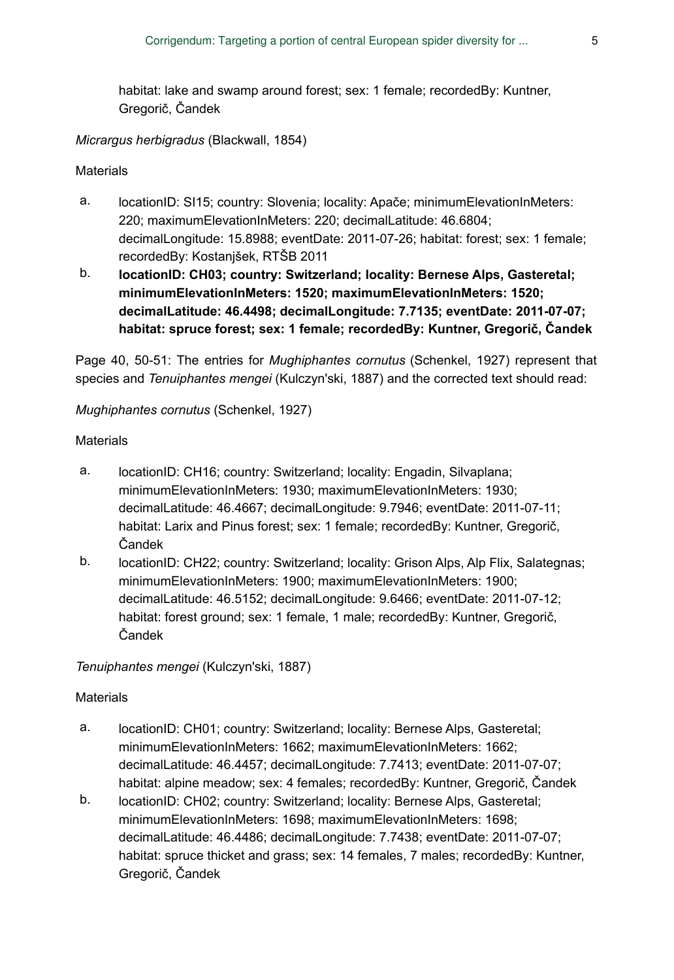habitat: lake and swamp around forest; sex: 1 female; recordedBy: Kuntner, Gregorič, Čandek

*Micrargus herbigradus* (Blackwall, 1854)

#### **Materials**

- a. locationID: SI15; country: Slovenia; locality: Apače; minimumElevationInMeters: 220; maximumElevationInMeters: 220; decimalLatitude: 46.6804; decimalLongitude: 15.8988; eventDate: 2011-07-26; habitat: forest; sex: 1 female; recordedBy: Kostanjšek, RTŠB 2011
- b. **locationID: CH03; country: Switzerland; locality: Bernese Alps, Gasteretal; minimumElevationInMeters: 1520; maximumElevationInMeters: 1520; decimalLatitude: 46.4498; decimalLongitude: 7.7135; eventDate: 2011-07-07; habitat: spruce forest; sex: 1 female; recordedBy: Kuntner, Gregorič, Čandek**

Page 40, 50-51: The entries for *Mughiphantes cornutus* (Schenkel, 1927) represent that species and *Tenuiphantes mengei* (Kulczyn'ski, 1887) and the corrected text should read:

*Mughiphantes cornutus* (Schenkel, 1927)

#### **Materials**

- a. locationID: CH16; country: Switzerland; locality: Engadin, Silvaplana; minimumElevationInMeters: 1930; maximumElevationInMeters: 1930; decimalLatitude: 46.4667; decimalLongitude: 9.7946; eventDate: 2011-07-11; habitat: Larix and Pinus forest; sex: 1 female; recordedBy: Kuntner, Gregorič, Čandek
- b. locationID: CH22; country: Switzerland; locality: Grison Alps, Alp Flix, Salategnas; minimumElevationInMeters: 1900; maximumElevationInMeters: 1900; decimalLatitude: 46.5152; decimalLongitude: 9.6466; eventDate: 2011-07-12; habitat: forest ground; sex: 1 female, 1 male; recordedBy: Kuntner, Gregorič, Čandek

*Tenuiphantes mengei* (Kulczyn'ski, 1887)

- a. locationID: CH01; country: Switzerland; locality: Bernese Alps, Gasteretal; minimumElevationInMeters: 1662; maximumElevationInMeters: 1662; decimalLatitude: 46.4457; decimalLongitude: 7.7413; eventDate: 2011-07-07; habitat: alpine meadow; sex: 4 females; recordedBy: Kuntner, Gregorič, Čandek
- b. locationID: CH02; country: Switzerland; locality: Bernese Alps, Gasteretal; minimumElevationInMeters: 1698; maximumElevationInMeters: 1698; decimalLatitude: 46.4486; decimalLongitude: 7.7438; eventDate: 2011-07-07; habitat: spruce thicket and grass; sex: 14 females, 7 males; recordedBy: Kuntner, Gregorič, Čandek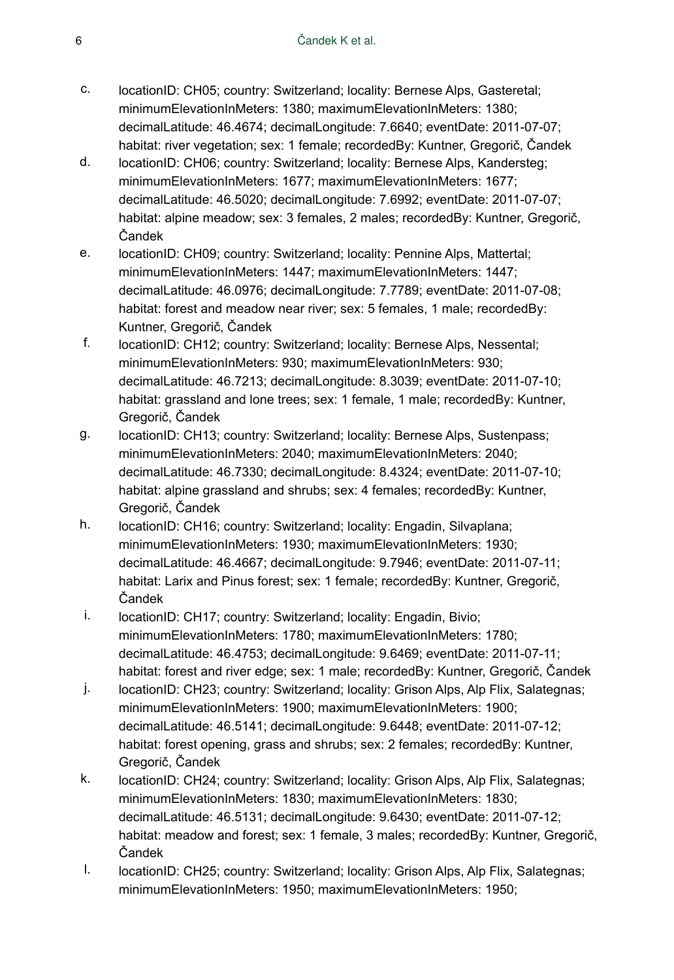- c. locationID: CH05; country: Switzerland; locality: Bernese Alps, Gasteretal; minimumElevationInMeters: 1380; maximumElevationInMeters: 1380; decimalLatitude: 46.4674; decimalLongitude: 7.6640; eventDate: 2011-07-07; habitat: river vegetation; sex: 1 female; recordedBy: Kuntner, Gregorič, Čandek
- d. locationID: CH06; country: Switzerland; locality: Bernese Alps, Kandersteg; minimumElevationInMeters: 1677; maximumElevationInMeters: 1677; decimalLatitude: 46.5020; decimalLongitude: 7.6992; eventDate: 2011-07-07; habitat: alpine meadow; sex: 3 females, 2 males; recordedBy: Kuntner, Gregorič, Čandek
- e. locationID: CH09; country: Switzerland; locality: Pennine Alps, Mattertal; minimumElevationInMeters: 1447; maximumElevationInMeters: 1447; decimalLatitude: 46.0976; decimalLongitude: 7.7789; eventDate: 2011-07-08; habitat: forest and meadow near river; sex: 5 females, 1 male; recordedBy: Kuntner, Gregorič, Čandek
- f. locationID: CH12; country: Switzerland; locality: Bernese Alps, Nessental; minimumElevationInMeters: 930; maximumElevationInMeters: 930; decimalLatitude: 46.7213; decimalLongitude: 8.3039; eventDate: 2011-07-10; habitat: grassland and lone trees; sex: 1 female, 1 male; recordedBy: Kuntner, Gregorič, Čandek
- g. locationID: CH13; country: Switzerland; locality: Bernese Alps, Sustenpass; minimumElevationInMeters: 2040; maximumElevationInMeters: 2040; decimalLatitude: 46.7330; decimalLongitude: 8.4324; eventDate: 2011-07-10; habitat: alpine grassland and shrubs; sex: 4 females; recordedBy: Kuntner, Gregorič, Čandek
- h. locationID: CH16; country: Switzerland; locality: Engadin, Silvaplana; minimumElevationInMeters: 1930; maximumElevationInMeters: 1930; decimalLatitude: 46.4667; decimalLongitude: 9.7946; eventDate: 2011-07-11; habitat: Larix and Pinus forest; sex: 1 female; recordedBy: Kuntner, Gregorič, Čandek
- i. locationID: CH17; country: Switzerland; locality: Engadin, Bivio; minimumElevationInMeters: 1780; maximumElevationInMeters: 1780; decimalLatitude: 46.4753; decimalLongitude: 9.6469; eventDate: 2011-07-11; habitat: forest and river edge; sex: 1 male; recordedBy: Kuntner, Gregorič, Čandek
- j. locationID: CH23; country: Switzerland; locality: Grison Alps, Alp Flix, Salategnas; minimumElevationInMeters: 1900; maximumElevationInMeters: 1900; decimalLatitude: 46.5141; decimalLongitude: 9.6448; eventDate: 2011-07-12; habitat: forest opening, grass and shrubs; sex: 2 females; recordedBy: Kuntner, Gregorič, Čandek
- k. locationID: CH24; country: Switzerland; locality: Grison Alps, Alp Flix, Salategnas; minimumElevationInMeters: 1830; maximumElevationInMeters: 1830; decimalLatitude: 46.5131; decimalLongitude: 9.6430; eventDate: 2011-07-12; habitat: meadow and forest; sex: 1 female, 3 males; recordedBy: Kuntner, Gregorič, Čandek
- l. locationID: CH25; country: Switzerland; locality: Grison Alps, Alp Flix, Salategnas; minimumElevationInMeters: 1950; maximumElevationInMeters: 1950;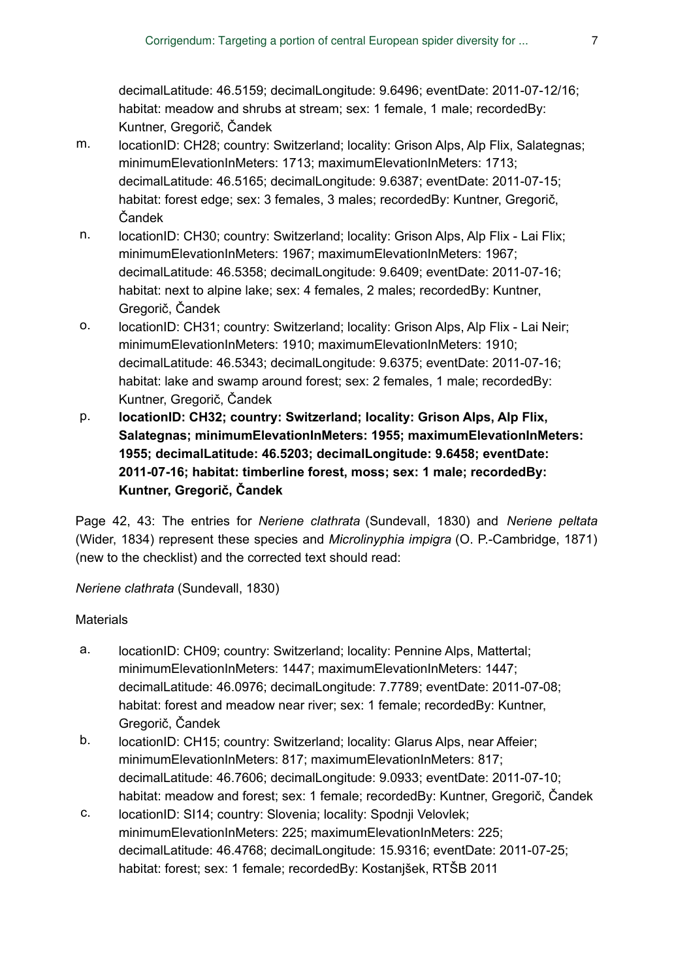decimalLatitude: 46.5159; decimalLongitude: 9.6496; eventDate: 2011-07-12/16; habitat: meadow and shrubs at stream; sex: 1 female, 1 male; recordedBy: Kuntner, Gregorič, Čandek

- m. locationID: CH28; country: Switzerland; locality: Grison Alps, Alp Flix, Salategnas; minimumElevationInMeters: 1713; maximumElevationInMeters: 1713; decimalLatitude: 46.5165; decimalLongitude: 9.6387; eventDate: 2011-07-15; habitat: forest edge; sex: 3 females, 3 males; recordedBy: Kuntner, Gregorič, Čandek
- n. locationID: CH30; country: Switzerland; locality: Grison Alps, Alp Flix Lai Flix; minimumElevationInMeters: 1967; maximumElevationInMeters: 1967; decimalLatitude: 46.5358; decimalLongitude: 9.6409; eventDate: 2011-07-16; habitat: next to alpine lake; sex: 4 females, 2 males; recordedBy: Kuntner, Gregorič, Čandek
- o. locationID: CH31; country: Switzerland; locality: Grison Alps, Alp Flix Lai Neir; minimumElevationInMeters: 1910; maximumElevationInMeters: 1910; decimalLatitude: 46.5343; decimalLongitude: 9.6375; eventDate: 2011-07-16; habitat: lake and swamp around forest; sex: 2 females, 1 male; recordedBy: Kuntner, Gregorič, Čandek
- p. **locationID: CH32; country: Switzerland; locality: Grison Alps, Alp Flix, Salategnas; minimumElevationInMeters: 1955; maximumElevationInMeters: 1955; decimalLatitude: 46.5203; decimalLongitude: 9.6458; eventDate: 2011-07-16; habitat: timberline forest, moss; sex: 1 male; recordedBy: Kuntner, Gregorič, Čandek**

Page 42, 43: The entries for *Neriene clathrata* (Sundevall, 1830) and *Neriene peltata* (Wider, 1834) represent these species and *Microlinyphia impigra* (O. P.-Cambridge, 1871) (new to the checklist) and the corrected text should read:

*Neriene clathrata* (Sundevall, 1830)

- a. locationID: CH09; country: Switzerland; locality: Pennine Alps, Mattertal; minimumElevationInMeters: 1447; maximumElevationInMeters: 1447; decimalLatitude: 46.0976; decimalLongitude: 7.7789; eventDate: 2011-07-08; habitat: forest and meadow near river; sex: 1 female; recordedBy: Kuntner, Gregorič, Čandek
- b. locationID: CH15; country: Switzerland; locality: Glarus Alps, near Affeier; minimumElevationInMeters: 817; maximumElevationInMeters: 817; decimalLatitude: 46.7606; decimalLongitude: 9.0933; eventDate: 2011-07-10; habitat: meadow and forest; sex: 1 female; recordedBy: Kuntner, Gregorič, Čandek
- c. locationID: SI14; country: Slovenia; locality: Spodnji Velovlek; minimumElevationInMeters: 225; maximumElevationInMeters: 225; decimalLatitude: 46.4768; decimalLongitude: 15.9316; eventDate: 2011-07-25; habitat: forest; sex: 1 female; recordedBy: Kostanjšek, RTŠB 2011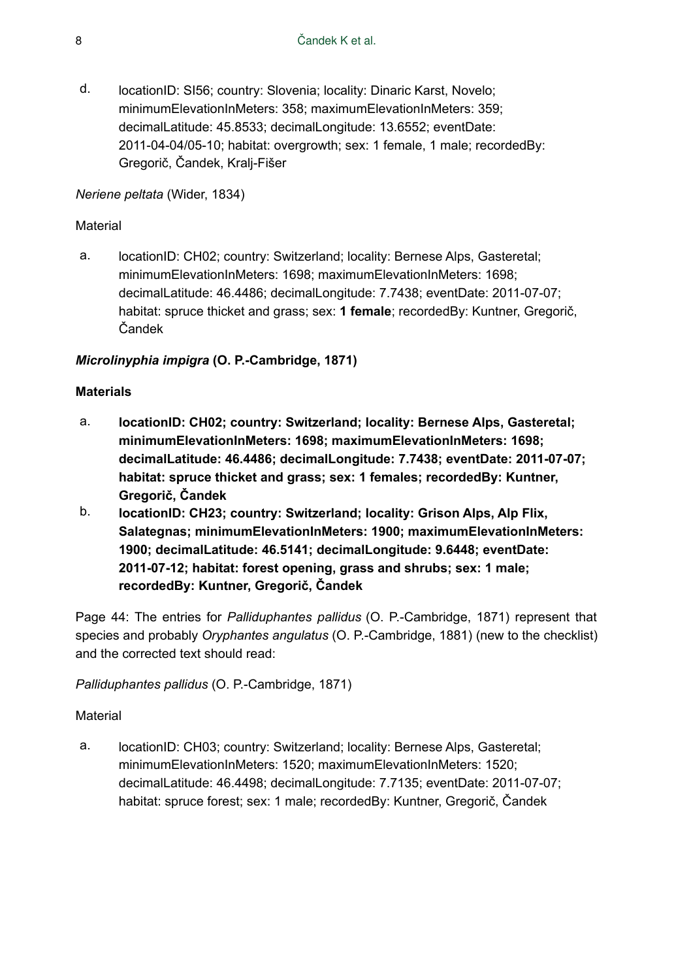d. locationID: SI56; country: Slovenia; locality: Dinaric Karst, Novelo; minimumElevationInMeters: 358; maximumElevationInMeters: 359; decimalLatitude: 45.8533; decimalLongitude: 13.6552; eventDate: 2011-04-04/05-10; habitat: overgrowth; sex: 1 female, 1 male; recordedBy: Gregorič, Čandek, Kralj-Fišer

#### *Neriene peltata* (Wider, 1834)

#### Material

a. locationID: CH02; country: Switzerland; locality: Bernese Alps, Gasteretal; minimumElevationInMeters: 1698; maximumElevationInMeters: 1698; decimalLatitude: 46.4486; decimalLongitude: 7.7438; eventDate: 2011-07-07; habitat: spruce thicket and grass; sex: **1 female**; recordedBy: Kuntner, Gregorič, Čandek

# *Microlinyphia impigra* **(O. P.-Cambridge, 1871)**

#### **Materials**

- a. **locationID: CH02; country: Switzerland; locality: Bernese Alps, Gasteretal; minimumElevationInMeters: 1698; maximumElevationInMeters: 1698; decimalLatitude: 46.4486; decimalLongitude: 7.7438; eventDate: 2011-07-07; habitat: spruce thicket and grass; sex: 1 females; recordedBy: Kuntner, Gregorič, Čandek**
- b. **locationID: CH23; country: Switzerland; locality: Grison Alps, Alp Flix, Salategnas; minimumElevationInMeters: 1900; maximumElevationInMeters: 1900; decimalLatitude: 46.5141; decimalLongitude: 9.6448; eventDate: 2011-07-12; habitat: forest opening, grass and shrubs; sex: 1 male; recordedBy: Kuntner, Gregorič, Čandek**

Page 44: The entries for *Palliduphantes pallidus* (O. P.-Cambridge, 1871) represent that species and probably *Oryphantes angulatus* (O. P.-Cambridge, 1881) (new to the checklist) and the corrected text should read:

*Palliduphantes pallidus* (O. P.-Cambridge, 1871)

#### Material

a. locationID: CH03; country: Switzerland; locality: Bernese Alps, Gasteretal; minimumElevationInMeters: 1520; maximumElevationInMeters: 1520; decimalLatitude: 46.4498; decimalLongitude: 7.7135; eventDate: 2011-07-07; habitat: spruce forest; sex: 1 male; recordedBy: Kuntner, Gregorič, Čandek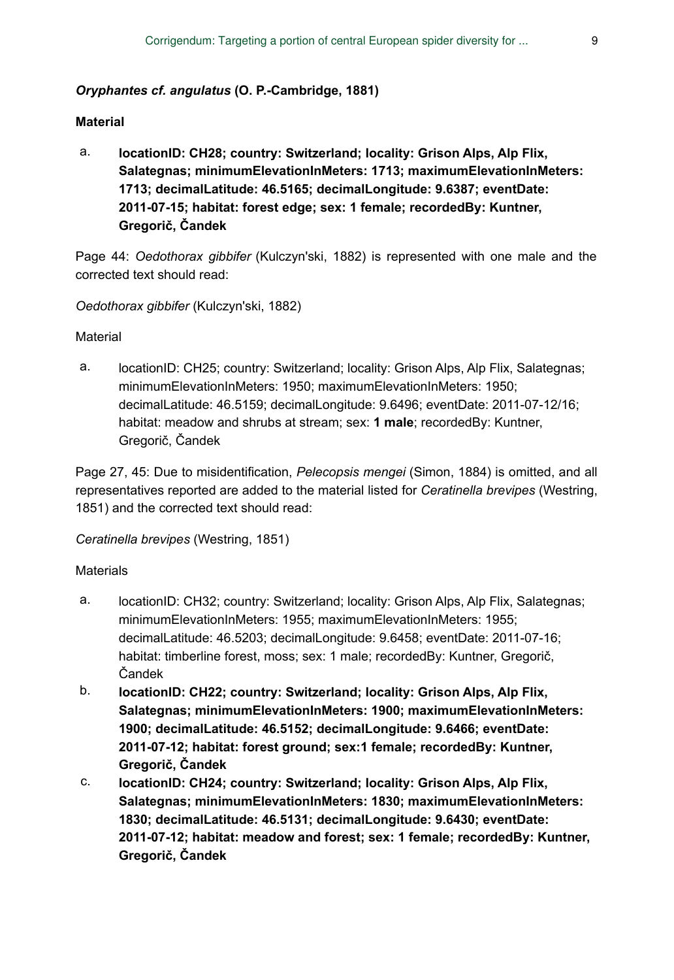#### *Oryphantes cf. angulatus* **(O. P.-Cambridge, 1881)**

#### **Material**

a. **locationID: CH28; country: Switzerland; locality: Grison Alps, Alp Flix, Salategnas; minimumElevationInMeters: 1713; maximumElevationInMeters: 1713; decimalLatitude: 46.5165; decimalLongitude: 9.6387; eventDate: 2011-07-15; habitat: forest edge; sex: 1 female; recordedBy: Kuntner, Gregorič, Čandek**

Page 44: *Oedothorax gibbifer* (Kulczyn'ski, 1882) is represented with one male and the corrected text should read:

#### *Oedothorax gibbifer* (Kulczyn'ski, 1882)

#### Material

a. locationID: CH25; country: Switzerland; locality: Grison Alps, Alp Flix, Salategnas; minimumElevationInMeters: 1950; maximumElevationInMeters: 1950; decimalLatitude: 46.5159; decimalLongitude: 9.6496; eventDate: 2011-07-12/16; habitat: meadow and shrubs at stream; sex: **1 male**; recordedBy: Kuntner, Gregorič, Čandek

Page 27, 45: Due to misidentification, *Pelecopsis mengei* (Simon, 1884) is omitted, and all representatives reported are added to the material listed for *Ceratinella brevipes* (Westring, 1851) and the corrected text should read:

#### *Ceratinella brevipes* (Westring, 1851)

- a. locationID: CH32; country: Switzerland; locality: Grison Alps, Alp Flix, Salategnas; minimumElevationInMeters: 1955; maximumElevationInMeters: 1955; decimalLatitude: 46.5203; decimalLongitude: 9.6458; eventDate: 2011-07-16; habitat: timberline forest, moss; sex: 1 male; recordedBy: Kuntner, Gregorič, Čandek
- b. **locationID: CH22; country: Switzerland; locality: Grison Alps, Alp Flix, Salategnas; minimumElevationInMeters: 1900; maximumElevationInMeters: 1900; decimalLatitude: 46.5152; decimalLongitude: 9.6466; eventDate: 2011-07-12; habitat: forest ground; sex:1 female; recordedBy: Kuntner, Gregorič, Čandek**
- c. **locationID: CH24; country: Switzerland; locality: Grison Alps, Alp Flix, Salategnas; minimumElevationInMeters: 1830; maximumElevationInMeters: 1830; decimalLatitude: 46.5131; decimalLongitude: 9.6430; eventDate: 2011-07-12; habitat: meadow and forest; sex: 1 female; recordedBy: Kuntner, Gregorič, Čandek**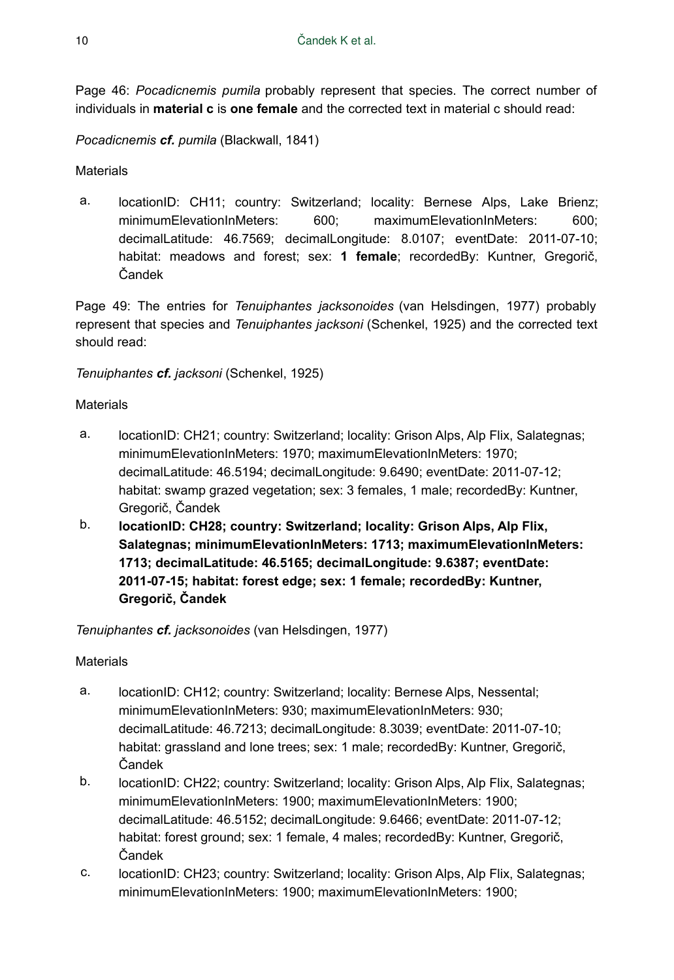Page 46: *Pocadicnemis pumila* probably represent that species. The correct number of individuals in **material c** is **one female** and the corrected text in material c should read:

*Pocadicnemis cf. pumila* (Blackwall, 1841)

# **Materials**

a. locationID: CH11; country: Switzerland; locality: Bernese Alps, Lake Brienz; minimumElevationInMeters: 600; maximumElevationInMeters: 600; decimalLatitude: 46.7569; decimalLongitude: 8.0107; eventDate: 2011-07-10; habitat: meadows and forest; sex: **1 female**; recordedBy: Kuntner, Gregorič, Čandek

Page 49: The entries for *Tenuiphantes jacksonoides* (van Helsdingen, 1977) probably represent that species and *Tenuiphantes jacksoni* (Schenkel, 1925) and the corrected text should read:

# *Tenuiphantes cf. jacksoni* (Schenkel, 1925)

#### **Materials**

- a. locationID: CH21; country: Switzerland; locality: Grison Alps, Alp Flix, Salategnas; minimumElevationInMeters: 1970; maximumElevationInMeters: 1970; decimalLatitude: 46.5194; decimalLongitude: 9.6490; eventDate: 2011-07-12; habitat: swamp grazed vegetation; sex: 3 females, 1 male; recordedBy: Kuntner, Gregorič, Čandek
- b. **locationID: CH28; country: Switzerland; locality: Grison Alps, Alp Flix, Salategnas; minimumElevationInMeters: 1713; maximumElevationInMeters: 1713; decimalLatitude: 46.5165; decimalLongitude: 9.6387; eventDate: 2011-07-15; habitat: forest edge; sex: 1 female; recordedBy: Kuntner, Gregorič, Čandek**

#### *Tenuiphantes cf. jacksonoides* (van Helsdingen, 1977)

- a. locationID: CH12; country: Switzerland; locality: Bernese Alps, Nessental; minimumElevationInMeters: 930; maximumElevationInMeters: 930; decimalLatitude: 46.7213; decimalLongitude: 8.3039; eventDate: 2011-07-10; habitat: grassland and lone trees; sex: 1 male; recordedBy: Kuntner, Gregorič, Čandek
- b. locationID: CH22; country: Switzerland; locality: Grison Alps, Alp Flix, Salategnas; minimumElevationInMeters: 1900; maximumElevationInMeters: 1900; decimalLatitude: 46.5152; decimalLongitude: 9.6466; eventDate: 2011-07-12; habitat: forest ground; sex: 1 female, 4 males; recordedBy: Kuntner, Gregorič, Čandek
- c. locationID: CH23; country: Switzerland; locality: Grison Alps, Alp Flix, Salategnas; minimumElevationInMeters: 1900; maximumElevationInMeters: 1900;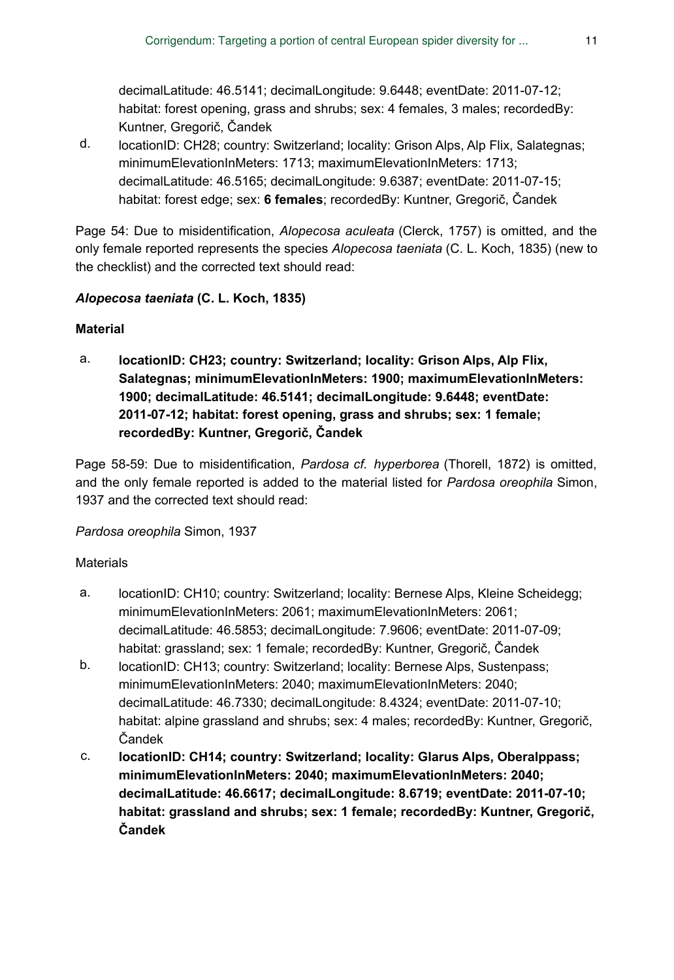decimalLatitude: 46.5141; decimalLongitude: 9.6448; eventDate: 2011-07-12; habitat: forest opening, grass and shrubs; sex: 4 females, 3 males; recordedBy: Kuntner, Gregorič, Čandek

d. locationID: CH28; country: Switzerland; locality: Grison Alps, Alp Flix, Salategnas; minimumElevationInMeters: 1713; maximumElevationInMeters: 1713; decimalLatitude: 46.5165; decimalLongitude: 9.6387; eventDate: 2011-07-15; habitat: forest edge; sex: **6 females**; recordedBy: Kuntner, Gregorič, Čandek

Page 54: Due to misidentification, *Alopecosa aculeata* (Clerck, 1757) is omitted, and the only female reported represents the species *Alopecosa taeniata* (C. L. Koch, 1835) (new to the checklist) and the corrected text should read:

# *Alopecosa taeniata* **(C. L. Koch, 1835)**

# **Material**

a. **locationID: CH23; country: Switzerland; locality: Grison Alps, Alp Flix, Salategnas; minimumElevationInMeters: 1900; maximumElevationInMeters: 1900; decimalLatitude: 46.5141; decimalLongitude: 9.6448; eventDate: 2011-07-12; habitat: forest opening, grass and shrubs; sex: 1 female; recordedBy: Kuntner, Gregorič, Čandek**

Page 58-59: Due to misidentification, *Pardosa cf. hyperborea* (Thorell, 1872) is omitted, and the only female reported is added to the material listed for *Pardosa oreophila* Simon, 1937 and the corrected text should read:

#### *Pardosa oreophila* Simon, 1937

- a. locationID: CH10; country: Switzerland; locality: Bernese Alps, Kleine Scheidegg; minimumElevationInMeters: 2061; maximumElevationInMeters: 2061; decimalLatitude: 46.5853; decimalLongitude: 7.9606; eventDate: 2011-07-09; habitat: grassland; sex: 1 female; recordedBy: Kuntner, Gregorič, Čandek
- b. locationID: CH13; country: Switzerland; locality: Bernese Alps, Sustenpass; minimumElevationInMeters: 2040; maximumElevationInMeters: 2040; decimalLatitude: 46.7330; decimalLongitude: 8.4324; eventDate: 2011-07-10; habitat: alpine grassland and shrubs; sex: 4 males; recordedBy: Kuntner, Gregorič, Čandek
- c. **locationID: CH14; country: Switzerland; locality: Glarus Alps, Oberalppass; minimumElevationInMeters: 2040; maximumElevationInMeters: 2040; decimalLatitude: 46.6617; decimalLongitude: 8.6719; eventDate: 2011-07-10; habitat: grassland and shrubs; sex: 1 female; recordedBy: Kuntner, Gregorič, Čandek**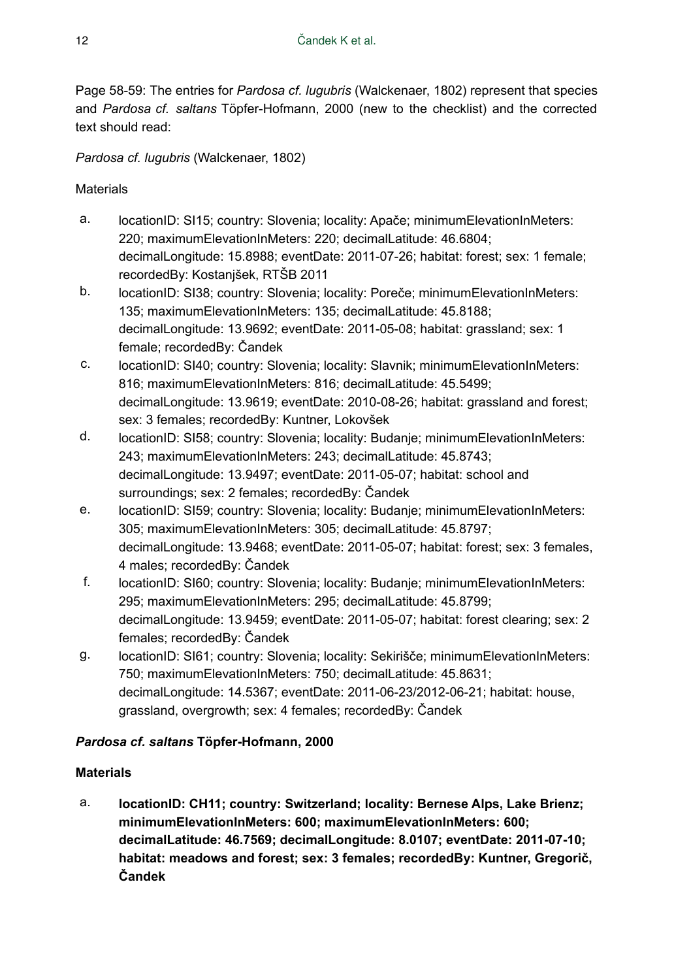Page 58-59: The entries for *Pardosa cf. lugubris* (Walckenaer, 1802) represent that species and *Pardosa cf. saltans* Töpfer-Hofmann, 2000 (new to the checklist) and the corrected text should read:

*Pardosa cf. lugubris* (Walckenaer, 1802)

**Materials** 

- a. locationID: SI15; country: Slovenia; locality: Apače; minimumElevationInMeters: 220; maximumElevationInMeters: 220; decimalLatitude: 46.6804; decimalLongitude: 15.8988; eventDate: 2011-07-26; habitat: forest; sex: 1 female; recordedBy: Kostanjšek, RTŠB 2011
- b. locationID: SI38; country: Slovenia; locality: Poreče; minimumElevationInMeters: 135; maximumElevationInMeters: 135; decimalLatitude: 45.8188; decimalLongitude: 13.9692; eventDate: 2011-05-08; habitat: grassland; sex: 1 female; recordedBy: Čandek
- c. locationID: SI40; country: Slovenia; locality: Slavnik; minimumElevationInMeters: 816; maximumElevationInMeters: 816; decimalLatitude: 45.5499; decimalLongitude: 13.9619; eventDate: 2010-08-26; habitat: grassland and forest; sex: 3 females; recordedBy: Kuntner, Lokovšek
- d. locationID: SI58; country: Slovenia; locality: Budanje; minimumElevationInMeters: 243; maximumElevationInMeters: 243; decimalLatitude: 45.8743; decimalLongitude: 13.9497; eventDate: 2011-05-07; habitat: school and surroundings; sex: 2 females; recordedBy: Čandek
- e. locationID: SI59; country: Slovenia; locality: Budanje; minimumElevationInMeters: 305; maximumElevationInMeters: 305; decimalLatitude: 45.8797; decimalLongitude: 13.9468; eventDate: 2011-05-07; habitat: forest; sex: 3 females, 4 males; recordedBy: Čandek
- f. locationID: SI60; country: Slovenia; locality: Budanje; minimumElevationInMeters: 295; maximumElevationInMeters: 295; decimalLatitude: 45.8799; decimalLongitude: 13.9459; eventDate: 2011-05-07; habitat: forest clearing; sex: 2 females; recordedBy: Čandek
- g. locationID: SI61; country: Slovenia; locality: Sekirišče; minimumElevationInMeters: 750; maximumElevationInMeters: 750; decimalLatitude: 45.8631; decimalLongitude: 14.5367; eventDate: 2011-06-23/2012-06-21; habitat: house, grassland, overgrowth; sex: 4 females; recordedBy: Čandek

# *Pardosa cf. saltans* **Töpfer-Hofmann, 2000**

# **Materials**

a. **locationID: CH11; country: Switzerland; locality: Bernese Alps, Lake Brienz; minimumElevationInMeters: 600; maximumElevationInMeters: 600; decimalLatitude: 46.7569; decimalLongitude: 8.0107; eventDate: 2011-07-10; habitat: meadows and forest; sex: 3 females; recordedBy: Kuntner, Gregorič, Čandek**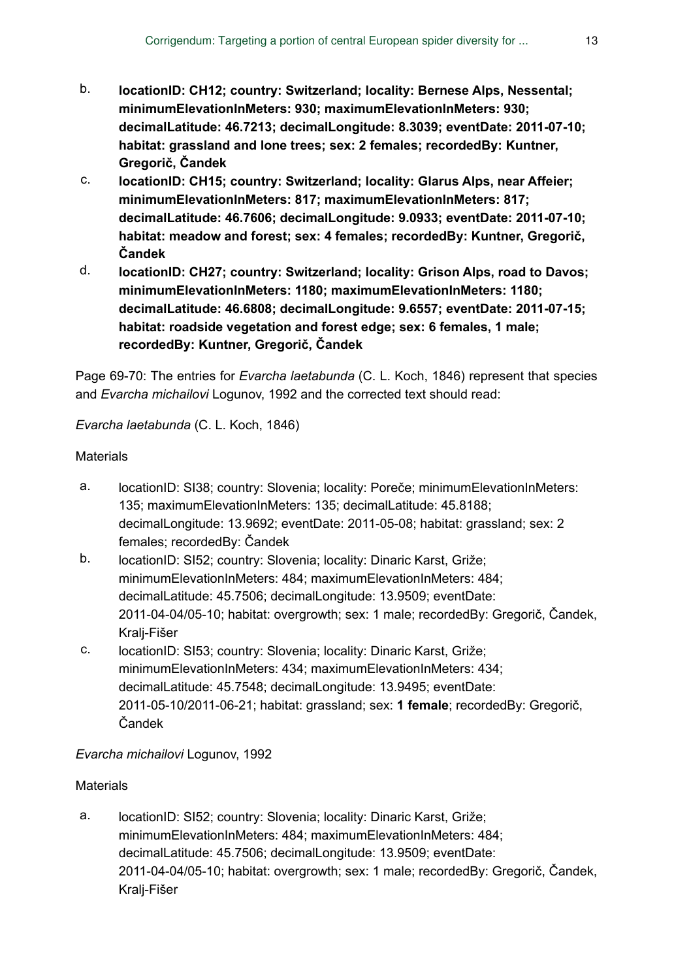- b. **locationID: CH12; country: Switzerland; locality: Bernese Alps, Nessental; minimumElevationInMeters: 930; maximumElevationInMeters: 930; decimalLatitude: 46.7213; decimalLongitude: 8.3039; eventDate: 2011-07-10; habitat: grassland and lone trees; sex: 2 females; recordedBy: Kuntner, Gregorič, Čandek**
- c. **locationID: CH15; country: Switzerland; locality: Glarus Alps, near Affeier; minimumElevationInMeters: 817; maximumElevationInMeters: 817; decimalLatitude: 46.7606; decimalLongitude: 9.0933; eventDate: 2011-07-10; habitat: meadow and forest; sex: 4 females; recordedBy: Kuntner, Gregorič, Čandek**
- d. **locationID: CH27; country: Switzerland; locality: Grison Alps, road to Davos; minimumElevationInMeters: 1180; maximumElevationInMeters: 1180; decimalLatitude: 46.6808; decimalLongitude: 9.6557; eventDate: 2011-07-15; habitat: roadside vegetation and forest edge; sex: 6 females, 1 male; recordedBy: Kuntner, Gregorič, Čandek**

Page 69-70: The entries for *Evarcha laetabunda* (C. L. Koch, 1846) represent that species and *Evarcha michailovi* Logunov, 1992 and the corrected text should read:

*Evarcha laetabunda* (C. L. Koch, 1846)

#### **Materials**

- a. locationID: SI38; country: Slovenia; locality: Poreče; minimumElevationInMeters: 135; maximumElevationInMeters: 135; decimalLatitude: 45.8188; decimalLongitude: 13.9692; eventDate: 2011-05-08; habitat: grassland; sex: 2 females; recordedBy: Čandek
- b. locationID: SI52; country: Slovenia; locality: Dinaric Karst, Griže; minimumElevationInMeters: 484; maximumElevationInMeters: 484; decimalLatitude: 45.7506; decimalLongitude: 13.9509; eventDate: 2011-04-04/05-10; habitat: overgrowth; sex: 1 male; recordedBy: Gregorič, Čandek, Kralj-Fišer
- c. locationID: SI53; country: Slovenia; locality: Dinaric Karst, Griže; minimumElevationInMeters: 434; maximumElevationInMeters: 434; decimalLatitude: 45.7548; decimalLongitude: 13.9495; eventDate: 2011-05-10/2011-06-21; habitat: grassland; sex: **1 female**; recordedBy: Gregorič, Čandek

#### *Evarcha michailovi* Logunov, 1992

#### **Materials**

a. locationID: SI52; country: Slovenia; locality: Dinaric Karst, Griže; minimumElevationInMeters: 484; maximumElevationInMeters: 484; decimalLatitude: 45.7506; decimalLongitude: 13.9509; eventDate: 2011-04-04/05-10; habitat: overgrowth; sex: 1 male; recordedBy: Gregorič, Čandek, Kralj-Fišer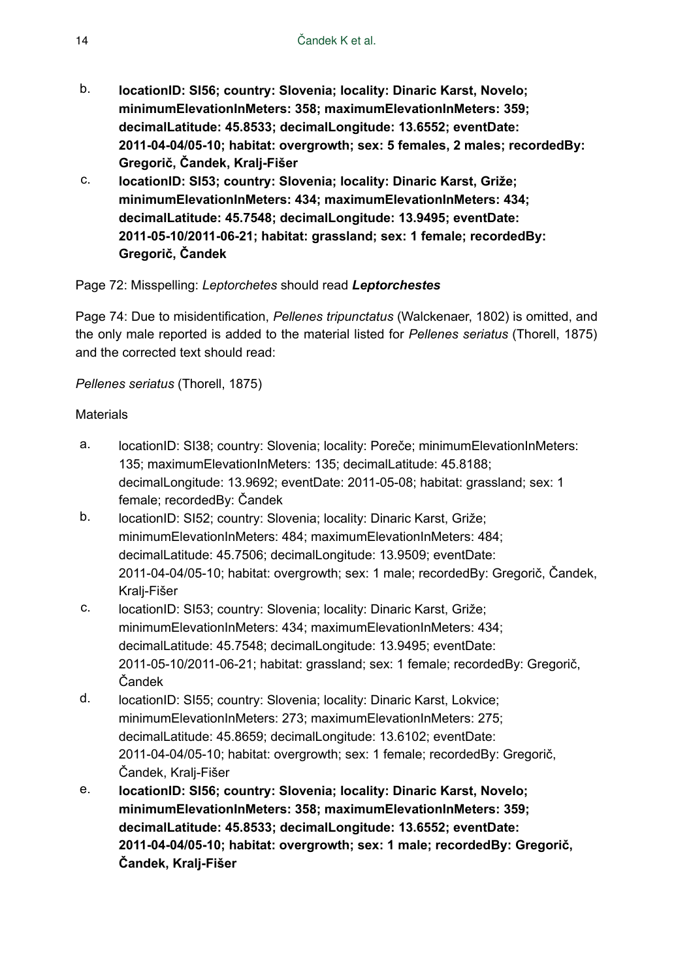- b. **locationID: SI56; country: Slovenia; locality: Dinaric Karst, Novelo; minimumElevationInMeters: 358; maximumElevationInMeters: 359; decimalLatitude: 45.8533; decimalLongitude: 13.6552; eventDate: 2011-04-04/05-10; habitat: overgrowth; sex: 5 females, 2 males; recordedBy: Gregorič, Čandek, Kralj-Fišer**
- c. **locationID: SI53; country: Slovenia; locality: Dinaric Karst, Griže; minimumElevationInMeters: 434; maximumElevationInMeters: 434; decimalLatitude: 45.7548; decimalLongitude: 13.9495; eventDate: 2011-05-10/2011-06-21; habitat: grassland; sex: 1 female; recordedBy: Gregorič, Čandek**

# Page 72: Misspelling: *Leptorchetes* should read *Leptorchestes*

Page 74: Due to misidentification, *Pellenes tripunctatus* (Walckenaer, 1802) is omitted, and the only male reported is added to the material listed for *Pellenes seriatus* (Thorell, 1875) and the corrected text should read:

*Pellenes seriatus* (Thorell, 1875)

- a. locationID: SI38; country: Slovenia; locality: Poreče; minimumElevationInMeters: 135; maximumElevationInMeters: 135; decimalLatitude: 45.8188; decimalLongitude: 13.9692; eventDate: 2011-05-08; habitat: grassland; sex: 1 female; recordedBy: Čandek
- b. locationID: SI52; country: Slovenia; locality: Dinaric Karst, Griže; minimumElevationInMeters: 484; maximumElevationInMeters: 484; decimalLatitude: 45.7506; decimalLongitude: 13.9509; eventDate: 2011-04-04/05-10; habitat: overgrowth; sex: 1 male; recordedBy: Gregorič, Čandek, Kralj-Fišer
- c. locationID: SI53; country: Slovenia; locality: Dinaric Karst, Griže; minimumElevationInMeters: 434; maximumElevationInMeters: 434; decimalLatitude: 45.7548; decimalLongitude: 13.9495; eventDate: 2011-05-10/2011-06-21; habitat: grassland; sex: 1 female; recordedBy: Gregorič, Čandek
- d. locationID: SI55; country: Slovenia; locality: Dinaric Karst, Lokvice; minimumElevationInMeters: 273; maximumElevationInMeters: 275; decimalLatitude: 45.8659; decimalLongitude: 13.6102; eventDate: 2011-04-04/05-10; habitat: overgrowth; sex: 1 female; recordedBy: Gregorič, Čandek, Kralj-Fišer
- e. **locationID: SI56; country: Slovenia; locality: Dinaric Karst, Novelo; minimumElevationInMeters: 358; maximumElevationInMeters: 359; decimalLatitude: 45.8533; decimalLongitude: 13.6552; eventDate: 2011-04-04/05-10; habitat: overgrowth; sex: 1 male; recordedBy: Gregorič, Čandek, Kralj-Fišer**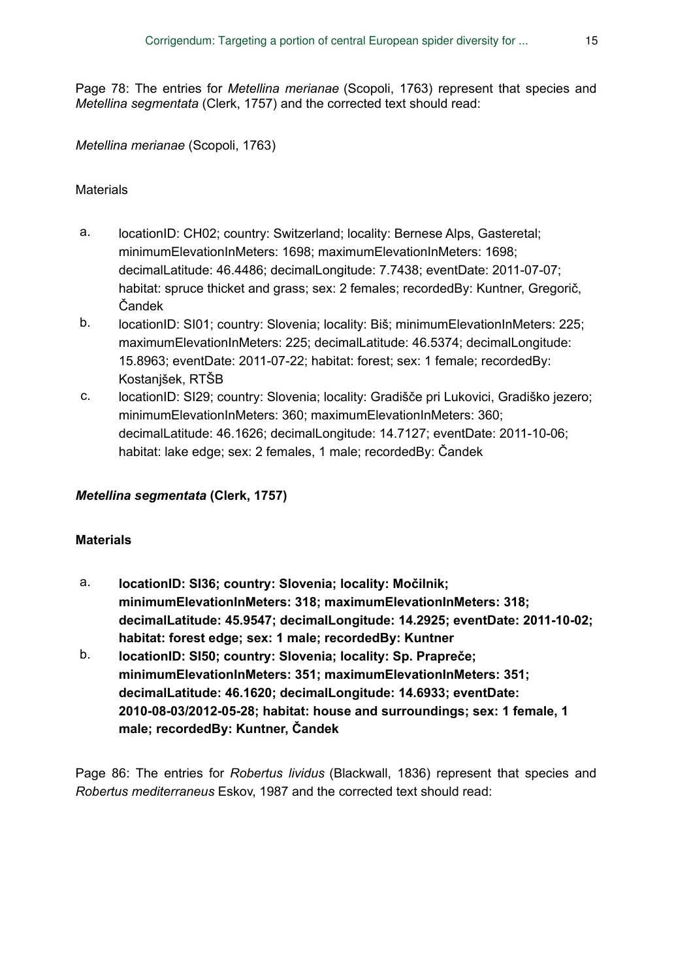Page 78: The entries for *Metellina merianae* (Scopoli, 1763) represent that species and *Metellina segmentata* (Clerk, 1757) and the corrected text should read:

*Metellina merianae* (Scopoli, 1763)

#### **Materials**

- a. locationID: CH02; country: Switzerland; locality: Bernese Alps, Gasteretal; minimumElevationInMeters: 1698; maximumElevationInMeters: 1698; decimalLatitude: 46.4486; decimalLongitude: 7.7438; eventDate: 2011-07-07; habitat: spruce thicket and grass; sex: 2 females; recordedBy: Kuntner, Gregorič, Čandek
- b. locationID: SI01; country: Slovenia; locality: Biš; minimumElevationInMeters: 225; maximumElevationInMeters: 225; decimalLatitude: 46.5374; decimalLongitude: 15.8963; eventDate: 2011-07-22; habitat: forest; sex: 1 female; recordedBy: Kostanjšek, RTŠB
- c. locationID: SI29; country: Slovenia; locality: Gradišče pri Lukovici, Gradiško jezero; minimumElevationInMeters: 360; maximumElevationInMeters: 360; decimalLatitude: 46.1626; decimalLongitude: 14.7127; eventDate: 2011-10-06; habitat: lake edge; sex: 2 females, 1 male; recordedBy: Čandek

#### *Metellina segmentata* **(Clerk, 1757)**

#### **Materials**

- a. **locationID: SI36; country: Slovenia; locality: Močilnik; minimumElevationInMeters: 318; maximumElevationInMeters: 318; decimalLatitude: 45.9547; decimalLongitude: 14.2925; eventDate: 2011-10-02; habitat: forest edge; sex: 1 male; recordedBy: Kuntner**
- b. **locationID: SI50; country: Slovenia; locality: Sp. Prapreče; minimumElevationInMeters: 351; maximumElevationInMeters: 351; decimalLatitude: 46.1620; decimalLongitude: 14.6933; eventDate: 2010-08-03/2012-05-28; habitat: house and surroundings; sex: 1 female, 1 male; recordedBy: Kuntner, Čandek**

Page 86: The entries for *Robertus lividus* (Blackwall, 1836) represent that species and *Robertus mediterraneus* Eskov, 1987 and the corrected text should read: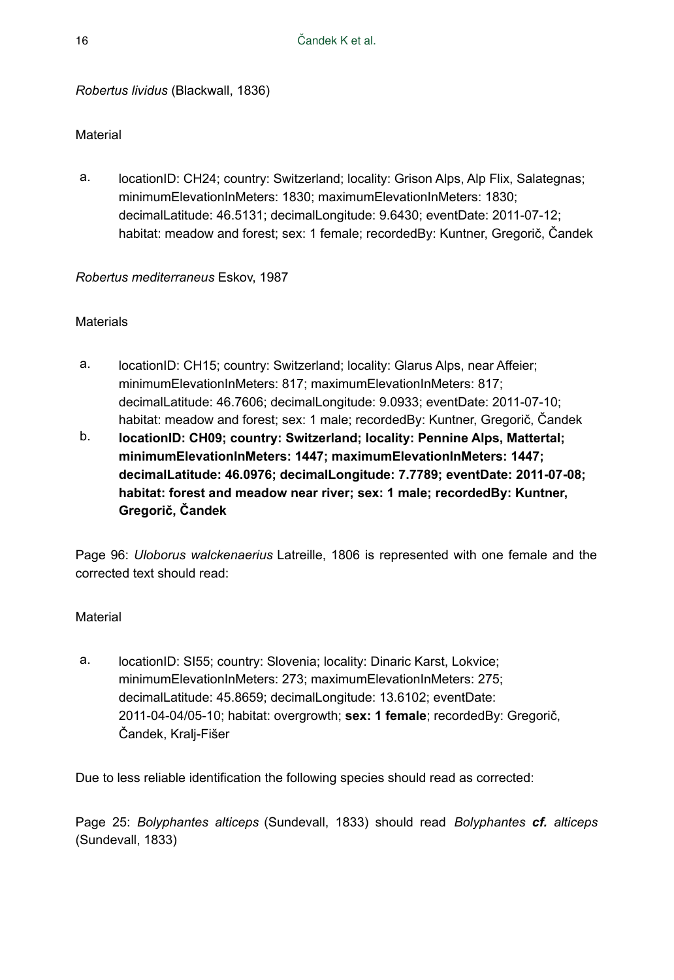*Robertus lividus* (Blackwall, 1836)

#### Material

a. locationID: CH24; country: Switzerland; locality: Grison Alps, Alp Flix, Salategnas; minimumElevationInMeters: 1830; maximumElevationInMeters: 1830; decimalLatitude: 46.5131; decimalLongitude: 9.6430; eventDate: 2011-07-12; habitat: meadow and forest; sex: 1 female; recordedBy: Kuntner, Gregorič, Čandek

#### *Robertus mediterraneus* Eskov, 1987

# **Materials**

- a. locationID: CH15; country: Switzerland; locality: Glarus Alps, near Affeier; minimumElevationInMeters: 817; maximumElevationInMeters: 817; decimalLatitude: 46.7606; decimalLongitude: 9.0933; eventDate: 2011-07-10; habitat: meadow and forest; sex: 1 male; recordedBy: Kuntner, Gregorič, Čandek
- b. **locationID: CH09; country: Switzerland; locality: Pennine Alps, Mattertal; minimumElevationInMeters: 1447; maximumElevationInMeters: 1447; decimalLatitude: 46.0976; decimalLongitude: 7.7789; eventDate: 2011-07-08; habitat: forest and meadow near river; sex: 1 male; recordedBy: Kuntner, Gregorič, Čandek**

Page 96: *Uloborus walckenaerius* Latreille, 1806 is represented with one female and the corrected text should read:

#### Material

a. locationID: SI55; country: Slovenia; locality: Dinaric Karst, Lokvice; minimumElevationInMeters: 273; maximumElevationInMeters: 275; decimalLatitude: 45.8659; decimalLongitude: 13.6102; eventDate: 2011-04-04/05-10; habitat: overgrowth; **sex: 1 female**; recordedBy: Gregorič, Čandek, Kralj-Fišer

Due to less reliable identification the following species should read as corrected:

Page 25: *Bolyphantes alticeps* (Sundevall, 1833) should read *Bolyphantes cf. alticeps* (Sundevall, 1833)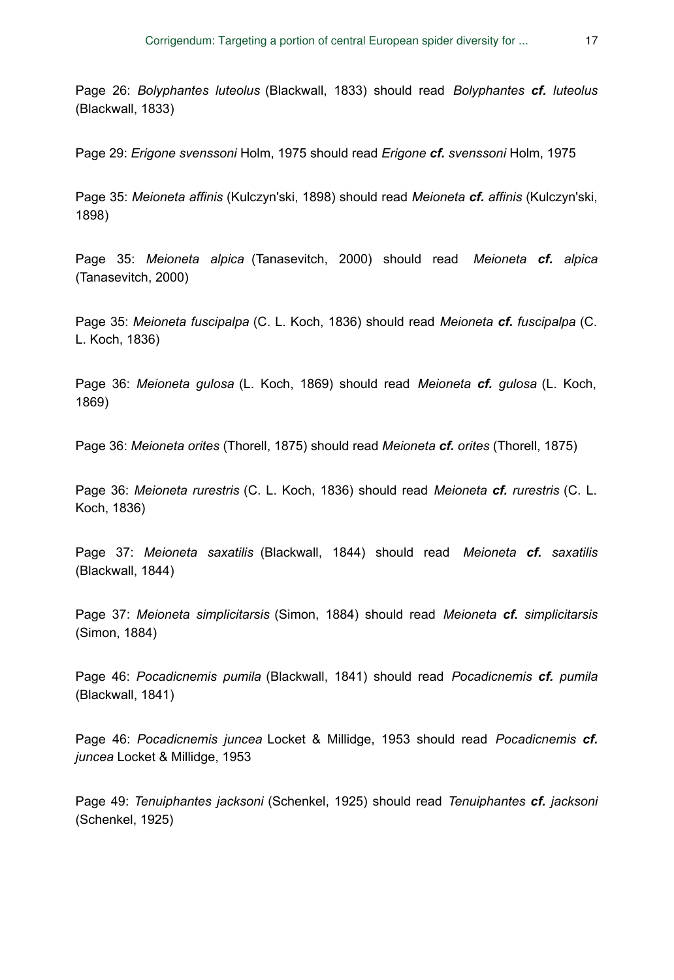Page 26: *Bolyphantes luteolus* (Blackwall, 1833) should read *Bolyphantes cf. luteolus* (Blackwall, 1833)

Page 29: *Erigone svenssoni* Holm, 1975 should read *Erigone cf. svenssoni* Holm, 1975

Page 35: *Meioneta affinis* (Kulczyn'ski, 1898) should read *Meioneta cf. affinis* (Kulczyn'ski, 1898)

Page 35: *Meioneta alpica* (Tanasevitch, 2000) should read *Meioneta cf. alpica* (Tanasevitch, 2000)

Page 35: *Meioneta fuscipalpa* (C. L. Koch, 1836) should read *Meioneta cf. fuscipalpa* (C. L. Koch, 1836)

Page 36: *Meioneta gulosa* (L. Koch, 1869) should read *Meioneta cf. gulosa* (L. Koch, 1869)

Page 36: *Meioneta orites* (Thorell, 1875) should read *Meioneta cf. orites* (Thorell, 1875)

Page 36: *Meioneta rurestris* (C. L. Koch, 1836) should read *Meioneta cf. rurestris* (C. L. Koch, 1836)

Page 37: *Meioneta saxatilis* (Blackwall, 1844) should read *Meioneta cf. saxatilis* (Blackwall, 1844)

Page 37: *Meioneta simplicitarsis* (Simon, 1884) should read *Meioneta cf. simplicitarsis* (Simon, 1884)

Page 46: *Pocadicnemis pumila* (Blackwall, 1841) should read *Pocadicnemis cf. pumila* (Blackwall, 1841)

Page 46: *Pocadicnemis juncea* Locket & Millidge, 1953 should read *Pocadicnemis cf. juncea* Locket & Millidge, 1953

Page 49: *Tenuiphantes jacksoni* (Schenkel, 1925) should read *Tenuiphantes cf. jacksoni* (Schenkel, 1925)